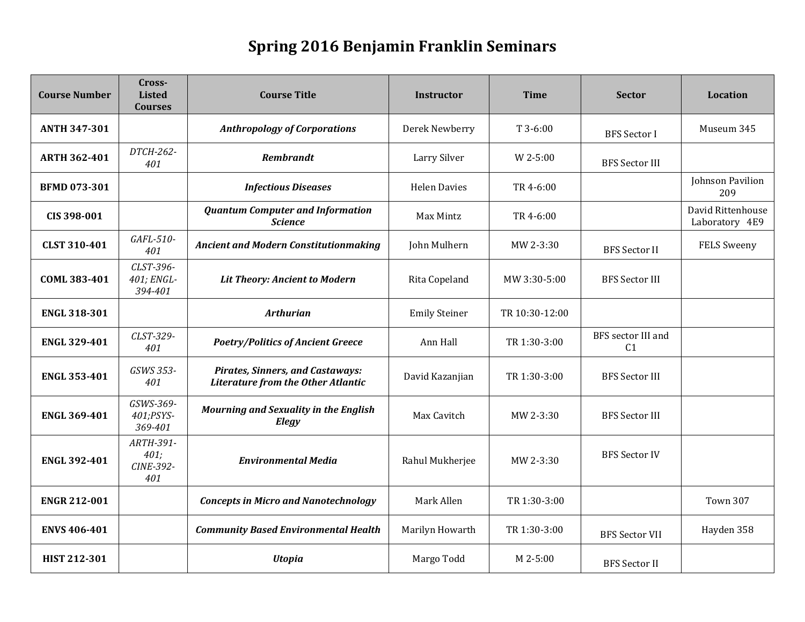## **Spring 2016 Benjamin Franklin Seminars**

| <b>Course Number</b> | Cross-<br><b>Listed</b><br><b>Courses</b> | <b>Course Title</b>                                                                  | <b>Instructor</b>    | <b>Time</b>    | <b>Sector</b>                        | <b>Location</b>                     |
|----------------------|-------------------------------------------|--------------------------------------------------------------------------------------|----------------------|----------------|--------------------------------------|-------------------------------------|
| <b>ANTH 347-301</b>  |                                           | <b>Anthropology of Corporations</b>                                                  | Derek Newberry       | $T3-6:00$      | <b>BFS</b> Sector I                  | Museum 345                          |
| <b>ARTH 362-401</b>  | DTCH-262-<br>401                          | <b>Rembrandt</b>                                                                     | Larry Silver         | W 2-5:00       | <b>BFS Sector III</b>                |                                     |
| <b>BFMD 073-301</b>  |                                           | <b>Infectious Diseases</b>                                                           | <b>Helen Davies</b>  | TR 4-6:00      |                                      | Johnson Pavilion<br>209             |
| CIS 398-001          |                                           | <b>Quantum Computer and Information</b><br><b>Science</b>                            | Max Mintz            | TR 4-6:00      |                                      | David Rittenhouse<br>Laboratory 4E9 |
| <b>CLST 310-401</b>  | GAFL-510-<br>401                          | <b>Ancient and Modern Constitutionmaking</b>                                         | John Mulhern         | MW 2-3:30      | <b>BFS</b> Sector II                 | <b>FELS Sweeny</b>                  |
| COML 383-401         | CLST-396-<br>401; ENGL-<br>394-401        | Lit Theory: Ancient to Modern                                                        | Rita Copeland        | MW 3:30-5:00   | <b>BFS Sector III</b>                |                                     |
| <b>ENGL 318-301</b>  |                                           | <b>Arthurian</b>                                                                     | <b>Emily Steiner</b> | TR 10:30-12:00 |                                      |                                     |
| <b>ENGL 329-401</b>  | CLST-329-<br>401                          | <b>Poetry/Politics of Ancient Greece</b>                                             | Ann Hall             | TR 1:30-3:00   | BFS sector III and<br>C <sub>1</sub> |                                     |
| <b>ENGL 353-401</b>  | GSWS 353-<br>401                          | <b>Pirates, Sinners, and Castaways:</b><br><b>Literature from the Other Atlantic</b> | David Kazanjian      | TR 1:30-3:00   | <b>BFS</b> Sector III                |                                     |
| <b>ENGL 369-401</b>  | GSWS-369-<br>401;PSYS-<br>369-401         | <b>Mourning and Sexuality in the English</b><br>Elegy                                | Max Cavitch          | $MW 2-3:30$    | <b>BFS</b> Sector III                |                                     |
| <b>ENGL 392-401</b>  | ARTH-391-<br>401;<br>CINE-392-<br>401     | <b>Environmental Media</b>                                                           | Rahul Mukherjee      | MW 2-3:30      | <b>BFS Sector IV</b>                 |                                     |
| <b>ENGR 212-001</b>  |                                           | <b>Concepts in Micro and Nanotechnology</b>                                          | Mark Allen           | TR 1:30-3:00   |                                      | <b>Town 307</b>                     |
| <b>ENVS 406-401</b>  |                                           | <b>Community Based Environmental Health</b>                                          | Marilyn Howarth      | TR 1:30-3:00   | <b>BFS Sector VII</b>                | Hayden 358                          |
| HIST 212-301         |                                           | <b>Utopia</b>                                                                        | Margo Todd           | $M$ 2-5:00     | <b>BFS</b> Sector II                 |                                     |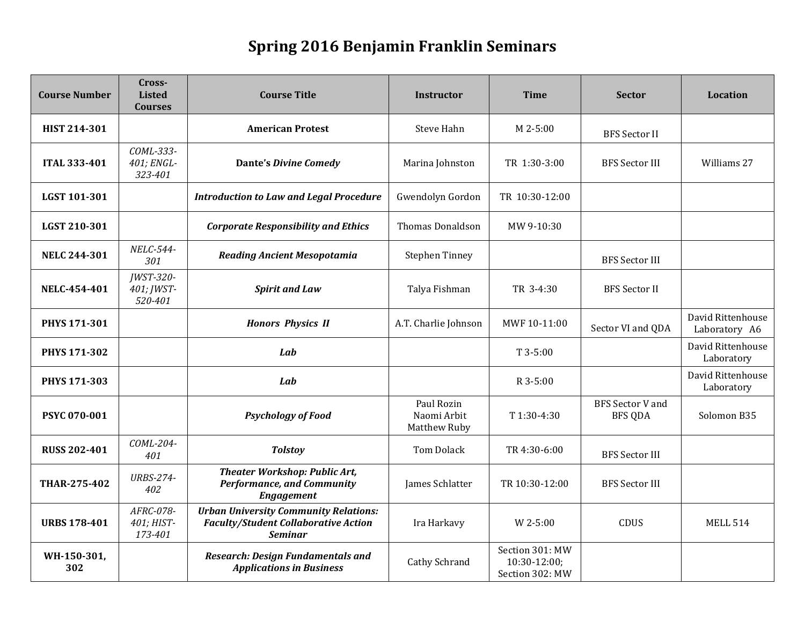## **Spring 2016 Benjamin Franklin Seminars**

| <b>Course Number</b> | Cross-<br><b>Listed</b><br><b>Courses</b> | <b>Course Title</b>                                                                                           | <b>Instructor</b>                         | <b>Time</b>                                          | <b>Sector</b>                             | <b>Location</b>                    |
|----------------------|-------------------------------------------|---------------------------------------------------------------------------------------------------------------|-------------------------------------------|------------------------------------------------------|-------------------------------------------|------------------------------------|
| HIST 214-301         |                                           | <b>American Protest</b>                                                                                       | Steve Hahn                                | M 2-5:00                                             | <b>BFS</b> Sector II                      |                                    |
| <b>ITAL 333-401</b>  | COML-333-<br>401; ENGL-<br>323-401        | <b>Dante's Divine Comedy</b>                                                                                  | Marina Johnston                           | TR 1:30-3:00                                         | <b>BFS</b> Sector III                     | Williams 27                        |
| LGST 101-301         |                                           | <b>Introduction to Law and Legal Procedure</b>                                                                | Gwendolyn Gordon                          | TR 10:30-12:00                                       |                                           |                                    |
| LGST 210-301         |                                           | <b>Corporate Responsibility and Ethics</b>                                                                    | <b>Thomas Donaldson</b>                   | MW 9-10:30                                           |                                           |                                    |
| <b>NELC 244-301</b>  | NELC-544-<br>301                          | <b>Reading Ancient Mesopotamia</b>                                                                            | <b>Stephen Tinney</b>                     |                                                      | <b>BFS</b> Sector III                     |                                    |
| NELC-454-401         | <b>JWST-320-</b><br>401; JWST-<br>520-401 | <b>Spirit and Law</b>                                                                                         | Talya Fishman                             | TR 3-4:30                                            | <b>BFS</b> Sector II                      |                                    |
| <b>PHYS 171-301</b>  |                                           | <b>Honors Physics II</b>                                                                                      | A.T. Charlie Johnson                      | MWF 10-11:00                                         | Sector VI and QDA                         | David Rittenhouse<br>Laboratory A6 |
| PHYS 171-302         |                                           | Lab                                                                                                           |                                           | $T$ 3-5:00                                           |                                           | David Rittenhouse<br>Laboratory    |
| PHYS 171-303         |                                           | Lab                                                                                                           |                                           | R 3-5:00                                             |                                           | David Rittenhouse<br>Laboratory    |
| <b>PSYC 070-001</b>  |                                           | <b>Psychology of Food</b>                                                                                     | Paul Rozin<br>Naomi Arbit<br>Matthew Ruby | T 1:30-4:30                                          | <b>BFS</b> Sector V and<br><b>BFS QDA</b> | Solomon B35                        |
| <b>RUSS 202-401</b>  | COML-204-<br>401                          | <b>Tolstoy</b>                                                                                                | <b>Tom Dolack</b>                         | TR 4:30-6:00                                         | <b>BFS</b> Sector III                     |                                    |
| THAR-275-402         | <b>URBS-274-</b><br>402                   | <b>Theater Workshop: Public Art,</b><br><b>Performance, and Community</b><br><b>Engagement</b>                | James Schlatter                           | TR 10:30-12:00                                       | <b>BFS Sector III</b>                     |                                    |
| <b>URBS 178-401</b>  | AFRC-078-<br>401; HIST-<br>173-401        | <b>Urban University Community Relations:</b><br><b>Faculty/Student Collaborative Action</b><br><b>Seminar</b> | Ira Harkavy                               | W 2-5:00                                             | CDUS                                      | <b>MELL 514</b>                    |
| WH-150-301,<br>302   |                                           | <b>Research: Design Fundamentals and</b><br><b>Applications in Business</b>                                   | Cathy Schrand                             | Section 301: MW<br>$10:30-12:00;$<br>Section 302: MW |                                           |                                    |